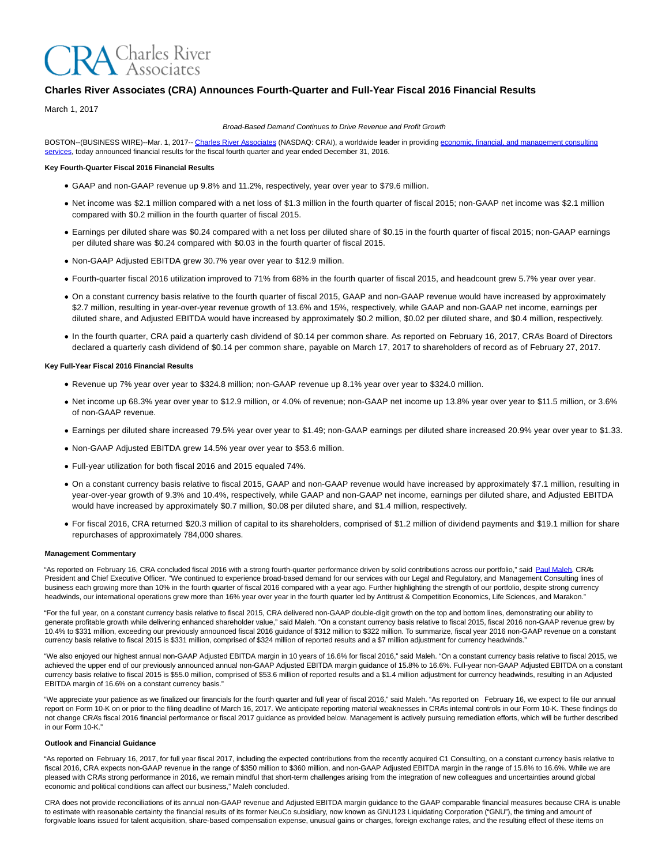# **RA** Charles River

## **Charles River Associates (CRA) Announces Fourth-Quarter and Full-Year Fiscal 2016 Financial Results**

March 1, 2017

Broad-Based Demand Continues to Drive Revenue and Profit Growth

BOSTON--(BUSINESS WIRE)--Mar. 1, 2017-- [Charles River Associates \(](http://cts.businesswire.com/ct/CT?id=smartlink&url=http%3A%2F%2Fwww.crai.com%2FDefault.aspx&esheet=51518924&newsitemid=20170301006602&lan=en-US&anchor=Charles+River+Associates&index=1&md5=e94cd74cebc4d12d75b1105bc1b4deab)NASDAQ: CRAI), a worldwide leader in providing [economic, financial, and management consulting](http://cts.businesswire.com/ct/CT?id=smartlink&url=http%3A%2F%2Fwww.crai.com%2FConsultingExpertise%2FDefaultCustom.aspx&esheet=51518924&newsitemid=20170301006602&lan=en-US&anchor=economic%2C+financial%2C+and+management+consulting+services&index=2&md5=82cbf25171ae831f4cf50f934051155f) services, today announced financial results for the fiscal fourth quarter and year ended December 31, 2016.

## **Key Fourth-Quarter Fiscal 2016 Financial Results**

- GAAP and non-GAAP revenue up 9.8% and 11.2%, respectively, year over year to \$79.6 million.
- Net income was \$2.1 million compared with a net loss of \$1.3 million in the fourth quarter of fiscal 2015; non-GAAP net income was \$2.1 million compared with \$0.2 million in the fourth quarter of fiscal 2015.
- Earnings per diluted share was \$0.24 compared with a net loss per diluted share of \$0.15 in the fourth quarter of fiscal 2015; non-GAAP earnings per diluted share was \$0.24 compared with \$0.03 in the fourth quarter of fiscal 2015.
- Non-GAAP Adjusted EBITDA grew 30.7% year over year to \$12.9 million.
- Fourth-quarter fiscal 2016 utilization improved to 71% from 68% in the fourth quarter of fiscal 2015, and headcount grew 5.7% year over year.
- On a constant currency basis relative to the fourth quarter of fiscal 2015, GAAP and non-GAAP revenue would have increased by approximately \$2.7 million, resulting in year-over-year revenue growth of 13.6% and 15%, respectively, while GAAP and non-GAAP net income, earnings per diluted share, and Adjusted EBITDA would have increased by approximately \$0.2 million, \$0.02 per diluted share, and \$0.4 million, respectively.
- In the fourth quarter, CRA paid a quarterly cash dividend of \$0.14 per common share. As reported on February 16, 2017, CRA's Board of Directors declared a quarterly cash dividend of \$0.14 per common share, payable on March 17, 2017 to shareholders of record as of February 27, 2017.

#### **Key Full-Year Fiscal 2016 Financial Results**

- Revenue up 7% year over year to \$324.8 million; non-GAAP revenue up 8.1% year over year to \$324.0 million.
- Net income up 68.3% year over year to \$12.9 million, or 4.0% of revenue; non-GAAP net income up 13.8% year over year to \$11.5 million, or 3.6% of non-GAAP revenue.
- Earnings per diluted share increased 79.5% year over year to \$1.49; non-GAAP earnings per diluted share increased 20.9% year over year to \$1.33.
- Non-GAAP Adjusted EBITDA grew 14.5% year over year to \$53.6 million.
- Full-year utilization for both fiscal 2016 and 2015 equaled 74%.
- On a constant currency basis relative to fiscal 2015, GAAP and non-GAAP revenue would have increased by approximately \$7.1 million, resulting in year-over-year growth of 9.3% and 10.4%, respectively, while GAAP and non-GAAP net income, earnings per diluted share, and Adjusted EBITDA would have increased by approximately \$0.7 million, \$0.08 per diluted share, and \$1.4 million, respectively.
- For fiscal 2016, CRA returned \$20.3 million of capital to its shareholders, comprised of \$1.2 million of dividend payments and \$19.1 million for share repurchases of approximately 784,000 shares.

#### **Management Commentary**

"As reported on February 16, CRA concluded fiscal 2016 with a strong fourth-quarter performance driven by solid contributions across our portfolio," said [Paul Maleh,](http://cts.businesswire.com/ct/CT?id=smartlink&url=http%3A%2F%2Fwww.crai.com%2Fexpert%2Fpaul-maleh&esheet=51518924&newsitemid=20170301006602&lan=en-US&anchor=Paul+Maleh&index=3&md5=620a92c5768086431b75190299faab23) CRA's President and Chief Executive Officer. "We continued to experience broad-based demand for our services with our Legal and Regulatory, and Management Consulting lines of business each growing more than 10% in the fourth quarter of fiscal 2016 compared with a year ago. Further highlighting the strength of our portfolio, despite strong currency headwinds, our international operations grew more than 16% year over year in the fourth quarter led by Antitrust & Competition Economics, Life Sciences, and Marakon."

"For the full year, on a constant currency basis relative to fiscal 2015, CRA delivered non-GAAP double-digit growth on the top and bottom lines, demonstrating our ability to generate profitable growth while delivering enhanced shareholder value," said Maleh. "On a constant currency basis relative to fiscal 2015, fiscal 2016 non-GAAP revenue grew by 10.4% to \$331 million, exceeding our previously announced fiscal 2016 guidance of \$312 million to \$322 million. To summarize, fiscal year 2016 non-GAAP revenue on a constant currency basis relative to fiscal 2015 is \$331 million, comprised of \$324 million of reported results and a \$7 million adjustment for currency headwinds."

"We also enjoyed our highest annual non-GAAP Adjusted EBITDA margin in 10 years of 16.6% for fiscal 2016," said Maleh. "On a constant currency basis relative to fiscal 2015, we achieved the upper end of our previously announced annual non-GAAP Adjusted EBITDA margin guidance of 15.8% to 16.6%. Full-year non-GAAP Adjusted EBITDA on a constant currency basis relative to fiscal 2015 is \$55.0 million, comprised of \$53.6 million of reported results and a \$1.4 million adjustment for currency headwinds, resulting in an Adjusted EBITDA margin of 16.6% on a constant currency basis."

"We appreciate your patience as we finalized our financials for the fourth quarter and full year of fiscal 2016," said Maleh. "As reported on February 16, we expect to file our annual report on Form 10-K on or prior to the filing deadline of March 16, 2017. We anticipate reporting material weaknesses in CRA's internal controls in our Form 10-K. These findings do not change CRA's fiscal 2016 financial performance or fiscal 2017 guidance as provided below. Management is actively pursuing remediation efforts, which will be further described in our Form 10-K."

#### **Outlook and Financial Guidance**

"As reported on February 16, 2017, for full year fiscal 2017, including the expected contributions from the recently acquired C1 Consulting, on a constant currency basis relative to fiscal 2016, CRA expects non-GAAP revenue in the range of \$350 million to \$360 million, and non-GAAP Adjusted EBITDA margin in the range of 15.8% to 16.6%. While we are pleased with CRA's strong performance in 2016, we remain mindful that short-term challenges arising from the integration of new colleagues and uncertainties around global economic and political conditions can affect our business," Maleh concluded.

CRA does not provide reconciliations of its annual non-GAAP revenue and Adjusted EBITDA margin guidance to the GAAP comparable financial measures because CRA is unable to estimate with reasonable certainty the financial results of its former NeuCo subsidiary, now known as GNU123 Liquidating Corporation ("GNU"), the timing and amount of forgivable loans issued for talent acquisition, share-based compensation expense, unusual gains or charges, foreign exchange rates, and the resulting effect of these items on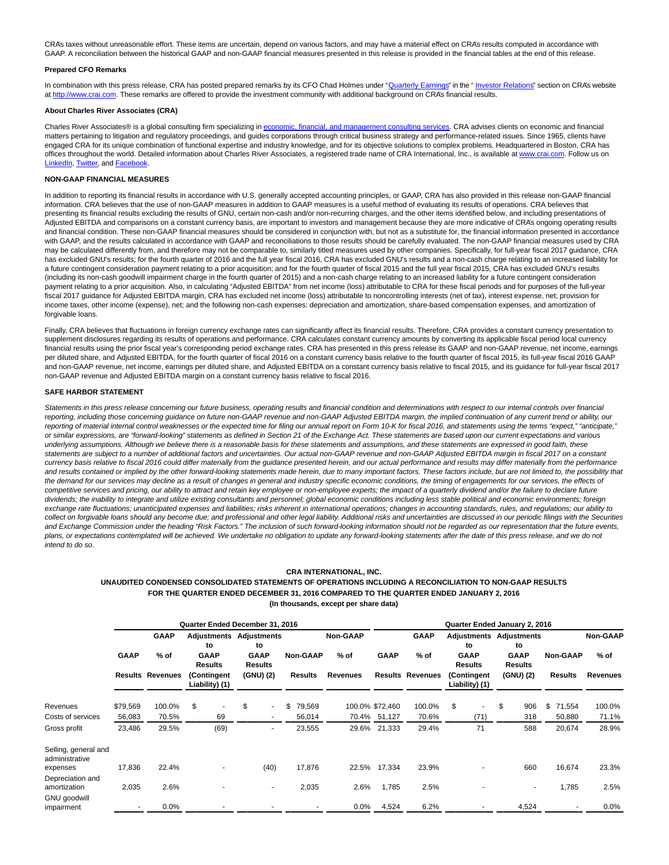CRA's taxes without unreasonable effort. These items are uncertain, depend on various factors, and may have a material effect on CRA's results computed in accordance with GAAP. A reconciliation between the historical GAAP and non-GAAP financial measures presented in this release is provided in the financial tables at the end of this release.

#### **Prepared CFO Remarks**

In combination with this press release, CRA has posted prepared remarks by its CFO Chad Holmes under ["Quarterly Earnings"](http://cts.businesswire.com/ct/CT?id=smartlink&url=http%3A%2F%2Fphx.corporate-ir.net%2Fphoenix.zhtml%3Fc%3D97435%26p%3Dirol-presentations&esheet=51518924&newsitemid=20170301006602&lan=en-US&anchor=Quarterly+Earnings&index=4&md5=9912246ee3a2df3305ae594f4f8fb636) in the " [Investor Relations"](http://cts.businesswire.com/ct/CT?id=smartlink&url=http%3A%2F%2Fphx.corporate-ir.net%2Fphoenix.zhtml%3Fc%3D97435%26p%3Dirol-IRHome&esheet=51518924&newsitemid=20170301006602&lan=en-US&anchor=Investor+Relations&index=5&md5=a6b9a01e9e2ecb2dcd29780a594db2ca) section on CRA's website at [http://www.crai.com.](http://cts.businesswire.com/ct/CT?id=smartlink&url=http%3A%2F%2Fwww.crai.com%2FDefault.aspx&esheet=51518924&newsitemid=20170301006602&lan=en-US&anchor=http%3A%2F%2Fwww.crai.com&index=6&md5=d504f41c6638385e143245ec6ef2082c) These remarks are offered to provide the investment community with additional background on CRA's financial results.

#### **About Charles River Associates (CRA)**

Charles River Associates® is a global consulting firm specializing in [economic, financial, and management consulting services.](http://cts.businesswire.com/ct/CT?id=smartlink&url=http%3A%2F%2Fwww.crai.com%2F&esheet=51518924&newsitemid=20170301006602&lan=en-US&anchor=economic%2C+financial%2C+and+management+consulting+services&index=7&md5=bd0471f58181608d9007e997b808297e) CRA advises clients on economic and financial matters pertaining to litigation and regulatory proceedings, and guides corporations through critical business strategy and performance-related issues. Since 1965, clients have engaged CRA for its unique combination of functional expertise and industry knowledge, and for its objective solutions to complex problems. Headquartered in Boston, CRA has offices throughout the world. Detailed information about Charles River Associates, a registered trade name of CRA International, Inc., is available at [www.crai.com.](http://cts.businesswire.com/ct/CT?id=smartlink&url=http%3A%2F%2Fwww.crai.com&esheet=51518924&newsitemid=20170301006602&lan=en-US&anchor=www.crai.com&index=8&md5=c28f705749a69d119c1d707430e5d7c8) Follow us on [LinkedIn,](http://cts.businesswire.com/ct/CT?id=smartlink&url=https%3A%2F%2Fwww.linkedin.com%2Fcompany%2Fcharles-river-associates&esheet=51518924&newsitemid=20170301006602&lan=en-US&anchor=LinkedIn&index=9&md5=ff10bb16f85b777e6605af0bd021e749) [Twitter,](http://cts.businesswire.com/ct/CT?id=smartlink&url=https%3A%2F%2Ftwitter.com%2FNews_CRA&esheet=51518924&newsitemid=20170301006602&lan=en-US&anchor=Twitter&index=10&md5=35447bd830dc33340173b3a79b19f32d) and [Facebook.](http://cts.businesswire.com/ct/CT?id=smartlink&url=https%3A%2F%2Fwww.facebook.com%2FCharlesRiverAssociates&esheet=51518924&newsitemid=20170301006602&lan=en-US&anchor=Facebook&index=11&md5=7683cad079ff622ce911d7a3ce61d8df)

#### **NON-GAAP FINANCIAL MEASURES**

In addition to reporting its financial results in accordance with U.S. generally accepted accounting principles, or GAAP, CRA has also provided in this release non-GAAP financial information. CRA believes that the use of non-GAAP measures in addition to GAAP measures is a useful method of evaluating its results of operations. CRA believes that presenting its financial results excluding the results of GNU, certain non-cash and/or non-recurring charges, and the other items identified below, and including presentations of Adjusted EBITDA and comparisons on a constant currency basis, are important to investors and management because they are more indicative of CRA's ongoing operating results and financial condition. These non-GAAP financial measures should be considered in conjunction with, but not as a substitute for, the financial information presented in accordance with GAAP, and the results calculated in accordance with GAAP and reconciliations to those results should be carefully evaluated. The non-GAAP financial measures used by CRA may be calculated differently from, and therefore may not be comparable to, similarly titled measures used by other companies. Specifically, for full-year fiscal 2017 guidance, CRA has excluded GNU's results; for the fourth quarter of 2016 and the full year fiscal 2016, CRA has excluded GNU's results and a non-cash charge relating to an increased liability for a future contingent consideration payment relating to a prior acquisition; and for the fourth quarter of fiscal 2015 and the full year fiscal 2015, CRA has excluded GNU's results (including its non-cash goodwill impairment charge in the fourth quarter of 2015) and a non-cash charge relating to an increased liability for a future contingent consideration payment relating to a prior acquisition. Also, in calculating "Adjusted EBITDA" from net income (loss) attributable to CRA for these fiscal periods and for purposes of the full-year fiscal 2017 guidance for Adjusted EBITDA margin, CRA has excluded net income (loss) attributable to noncontrolling interests (net of tax), interest expense, net; provision for income taxes, other income (expense), net; and the following non-cash expenses: depreciation and amortization, share-based compensation expenses, and amortization of forgivable loans.

Finally, CRA believes that fluctuations in foreign currency exchange rates can significantly affect its financial results. Therefore, CRA provides a constant currency presentation to supplement disclosures regarding its results of operations and performance. CRA calculates constant currency amounts by converting its applicable fiscal period local currency financial results using the prior fiscal year's corresponding period exchange rates. CRA has presented in this press release its GAAP and non-GAAP revenue, net income, earnings per diluted share, and Adjusted EBITDA, for the fourth quarter of fiscal 2016 on a constant currency basis relative to the fourth quarter of fiscal 2015, its full-year fiscal 2016 GAAP and non-GAAP revenue, net income, earnings per diluted share, and Adjusted EBITDA on a constant currency basis relative to fiscal 2015, and its guidance for full-year fiscal 2017 non-GAAP revenue and Adjusted EBITDA margin on a constant currency basis relative to fiscal 2016.

#### **SAFE HARBOR STATEMENT**

Statements in this press release concerning our future business, operating results and financial condition and determinations with respect to our internal controls over financial reporting, including those concerning guidance on future non-GAAP revenue and non-GAAP Adjusted EBITDA margin, the implied continuation of any current trend or ability, our reporting of material internal control weaknesses or the expected time for filing our annual report on Form 10-K for fiscal 2016, and statements using the terms "expect," "anticipate," or similar expressions, are "forward-looking" statements as defined in Section 21 of the Exchange Act. These statements are based upon our current expectations and various underlying assumptions. Although we believe there is a reasonable basis for these statements and assumptions, and these statements are expressed in good faith, these statements are subject to a number of additional factors and uncertainties. Our actual non-GAAP revenue and non-GAAP Adjusted EBITDA margin in fiscal 2017 on a constant currency basis relative to fiscal 2016 could differ materially from the guidance presented herein, and our actual performance and results may differ materially from the performance and results contained or implied by the other forward-looking statements made herein, due to many important factors. These factors include, but are not limited to, the possibility that the demand for our services may decline as a result of changes in general and industry specific economic conditions, the timing of engagements for our services, the effects of competitive services and pricing, our ability to attract and retain key employee or non-employee experts; the impact of a quarterly dividend and/or the failure to declare future dividends; the inability to integrate and utilize existing consultants and personnel; global economic conditions including less stable political and economic environments; foreign exchange rate fluctuations; unanticipated expenses and liabilities; risks inherent in international operations; changes in accounting standards, rules, and regulations; our ability to collect on forgivable loans should any become due; and professional and other legal liability. Additional risks and uncertainties are discussed in our periodic filings with the Securities and Exchange Commission under the heading "Risk Factors." The inclusion of such forward-looking information should not be regarded as our representation that the future events, plans, or expectations contemplated will be achieved. We undertake no obligation to update any forward-looking statements after the date of this press release, and we do not intend to do so.

## **CRA INTERNATIONAL, INC.**

## **UNAUDITED CONDENSED CONSOLIDATED STATEMENTS OF OPERATIONS INCLUDING A RECONCILIATION TO NON-GAAP RESULTS FOR THE QUARTER ENDED DECEMBER 31, 2016 COMPARED TO THE QUARTER ENDED JANUARY 2, 2016 (In thousands, except per share data)**

|                                        |                         |             |                               | Quarter Ended December 31, 2016 |                               |                          |                |          | Quarter Ended January 2, 2016 |       |                 |                         |                               |                          |                               |                          |                 |  |                 |
|----------------------------------------|-------------------------|-------------|-------------------------------|---------------------------------|-------------------------------|--------------------------|----------------|----------|-------------------------------|-------|-----------------|-------------------------|-------------------------------|--------------------------|-------------------------------|--------------------------|-----------------|--|-----------------|
|                                        |                         | <b>GAAP</b> |                               | Adjustments<br>to               |                               | <b>Adjustments</b><br>to |                |          | <b>Non-GAAP</b>               |       |                 | <b>GAAP</b>             |                               | <b>Adjustments</b><br>to |                               | <b>Adjustments</b><br>to |                 |  | Non-GAAP        |
|                                        | <b>GAAP</b>             | $%$ of      | <b>GAAP</b><br><b>Results</b> |                                 | <b>GAAP</b><br><b>Results</b> |                          |                | Non-GAAP | $%$ of                        |       | <b>GAAP</b>     | $%$ of                  | <b>GAAP</b><br><b>Results</b> |                          | <b>GAAP</b><br><b>Results</b> |                          | <b>Non-GAAP</b> |  | $%$ of          |
|                                        | <b>Results Revenues</b> |             | (Contingent<br>Liability) (1) |                                 | (GNU) (2)                     |                          | <b>Results</b> |          | <b>Revenues</b>               |       |                 | <b>Results Revenues</b> | (Contingent<br>Liability) (1) |                          | (GNU) (2)                     |                          | <b>Results</b>  |  | <b>Revenues</b> |
| Revenues                               | \$79,569                | 100.0%      | \$                            |                                 | \$                            | $\sim$                   | \$             | 79,569   |                               |       | 100.0% \$72,460 | 100.0%                  | \$                            | ٠                        | \$                            | 906                      | \$<br>71,554    |  | 100.0%          |
| Costs of services                      | 56,083                  | 70.5%       |                               | 69                              |                               |                          |                | 56,014   |                               |       | 70.4% 51,127    | 70.6%                   |                               | (71)                     |                               | 318                      | 50,880          |  | 71.1%           |
| Gross profit                           | 23,486                  | 29.5%       |                               | (69)                            |                               |                          |                | 23,555   |                               | 29.6% | 21,333          | 29.4%                   |                               | 71                       |                               | 588                      | 20,674          |  | 28.9%           |
| Selling, general and<br>administrative |                         |             |                               |                                 |                               |                          |                |          |                               |       |                 |                         |                               |                          |                               |                          |                 |  |                 |
| expenses                               | 17,836                  | 22.4%       |                               |                                 |                               | (40)                     |                | 17,876   |                               | 22.5% | 17,334          | 23.9%                   |                               |                          |                               | 660                      | 16,674          |  | 23.3%           |
| Depreciation and<br>amortization       | 2,035                   | 2.6%        |                               |                                 |                               |                          |                | 2,035    |                               | 2.6%  | 1,785           | 2.5%                    |                               |                          |                               |                          | 1,785           |  | 2.5%            |
| <b>GNU</b> goodwill<br>impairment      |                         | 0.0%        |                               |                                 |                               |                          |                |          |                               | 0.0%  | 4,524           | 6.2%                    |                               |                          |                               | 4,524                    |                 |  | 0.0%            |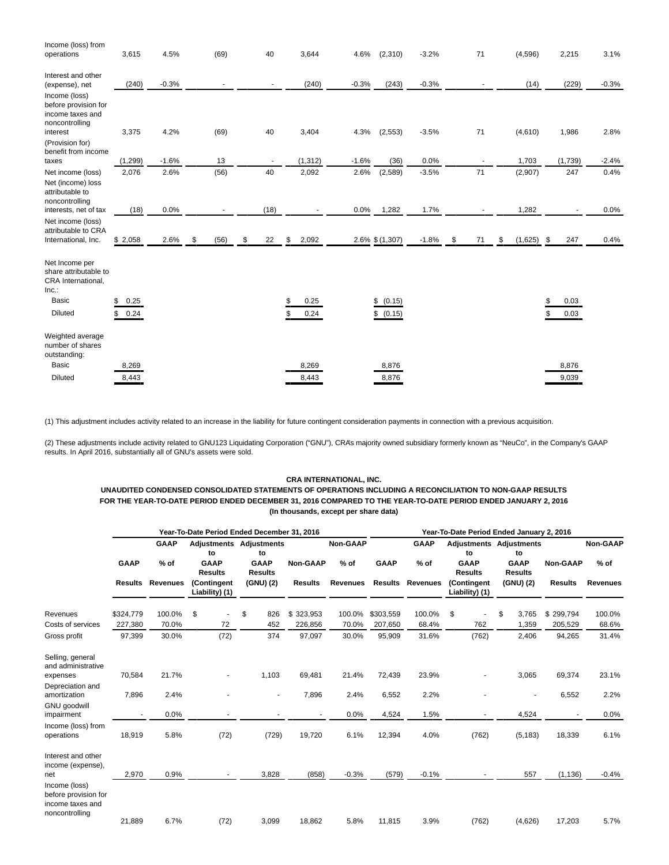| Income (loss) from<br>operations                                                          | 3,615                | 4.5%    | (69)       | 40       | 3,644             | 4.6%<br>(2,310)        | $-3.2%$          | 71               | (4,596)            | 2,215                    | 3.1%    |
|-------------------------------------------------------------------------------------------|----------------------|---------|------------|----------|-------------------|------------------------|------------------|------------------|--------------------|--------------------------|---------|
| Interest and other<br>(expense), net<br>Income (loss)                                     | (240)                | $-0.3%$ |            |          | (240)             | $-0.3%$                | (243)<br>$-0.3%$ |                  | (14)               | (229)                    | $-0.3%$ |
| before provision for<br>income taxes and<br>noncontrolling                                |                      |         |            |          |                   |                        |                  |                  |                    |                          |         |
| interest<br>(Provision for)<br>benefit from income                                        | 3,375                | 4.2%    | (69)       | 40       | 3,404             | 4.3%<br>(2, 553)       | $-3.5%$          | 71               | (4,610)            | 1,986                    | 2.8%    |
| taxes                                                                                     | (1, 299)             | $-1.6%$ | 13         |          | (1, 312)          | $-1.6%$                | 0.0%<br>(36)     |                  | 1,703              | (1,739)                  | $-2.4%$ |
| Net income (loss)<br>Net (income) loss<br>attributable to<br>noncontrolling               | 2,076                | 2.6%    | (56)       | 40       | 2,092             | 2.6%<br>(2,589)        | $-3.5%$          | 71               | (2,907)            | 247                      | 0.4%    |
| interests, net of tax                                                                     | (18)                 | 0.0%    |            | (18)     |                   | 0.0%<br>1,282          | 1.7%             |                  | 1,282              |                          | 0.0%    |
| Net income (loss)<br>attributable to CRA<br>International, Inc.                           | \$2,058              | 2.6%    | \$<br>(56) | \$<br>22 | \$<br>2,092       | 2.6% \$ (1,307)        | $-1.8%$          | $\sqrt{3}$<br>71 | \$<br>$(1,625)$ \$ | 247                      | 0.4%    |
| Net Income per<br>share attributable to<br>CRA International,<br>Inc.<br>Basic<br>Diluted | 0.25<br>\$<br>\$0.24 |         |            |          | 0.25<br>0.24<br>S | \$ (0.15)<br>\$ (0.15) |                  |                  |                    | \$<br>0.03<br>0.03<br>\$ |         |
| Weighted average<br>number of shares<br>outstanding:<br><b>Basic</b><br><b>Diluted</b>    | 8,269<br>8,443       |         |            |          | 8,269<br>8,443    | 8,876<br>8,876         |                  |                  |                    | 8,876<br>9,039           |         |

(1) This adjustment includes activity related to an increase in the liability for future contingent consideration payments in connection with a previous acquisition.

(2) These adjustments include activity related to GNU123 Liquidating Corporation ("GNU"), CRA's majority owned subsidiary formerly known as "NeuCo", in the Company's GAAP results. In April 2016, substantially all of GNU's assets were sold.

## **CRA INTERNATIONAL, INC.**

## **UNAUDITED CONDENSED CONSOLIDATED STATEMENTS OF OPERATIONS INCLUDING A RECONCILIATION TO NON-GAAP RESULTS FOR THE YEAR-TO-DATE PERIOD ENDED DECEMBER 31, 2016 COMPARED TO THE YEAR-TO-DATE PERIOD ENDED JANUARY 2, 2016 (In thousands, except per share data)**

|                                                                             |                |                 | Year-To-Date Period Ended December 31, 2016 |                                      |                 | Year-To-Date Period Ended January 2, 2016 |                |                 |                               |                                      |                 |                 |  |  |
|-----------------------------------------------------------------------------|----------------|-----------------|---------------------------------------------|--------------------------------------|-----------------|-------------------------------------------|----------------|-----------------|-------------------------------|--------------------------------------|-----------------|-----------------|--|--|
|                                                                             |                | <b>GAAP</b>     | to                                          | <b>Adjustments Adjustments</b><br>to |                 | Non-GAAP                                  |                | <b>GAAP</b>     | to                            | <b>Adjustments Adjustments</b><br>to |                 | Non-GAAP        |  |  |
|                                                                             | <b>GAAP</b>    | $%$ of          | <b>GAAP</b><br><b>Results</b>               | <b>GAAP</b><br><b>Results</b>        | <b>Non-GAAP</b> | $%$ of                                    | <b>GAAP</b>    | $%$ of          | <b>GAAP</b><br><b>Results</b> | <b>GAAP</b><br><b>Results</b>        | <b>Non-GAAP</b> | $%$ of          |  |  |
|                                                                             | <b>Results</b> | <b>Revenues</b> | (Contingent<br>Liability) (1)               | (GNU) (2)                            | <b>Results</b>  | <b>Revenues</b>                           | <b>Results</b> | <b>Revenues</b> | (Contingent<br>Liability) (1) | (GNU) (2)                            | <b>Results</b>  | <b>Revenues</b> |  |  |
| Revenues                                                                    | \$324,779      | 100.0%          | \$                                          | \$<br>826                            | \$323,953       | 100.0%                                    | \$303,559      | 100.0%          | \$                            | \$<br>3,765                          | \$299,794       | 100.0%          |  |  |
| Costs of services                                                           | 227,380        | 70.0%           | 72                                          | 452                                  | 226,856         | 70.0%                                     | 207,650        | 68.4%           | 762                           | 1,359                                | 205,529         | 68.6%           |  |  |
| Gross profit                                                                | 97,399         | 30.0%           | (72)                                        | 374                                  | 97,097          | 30.0%                                     | 95,909         | 31.6%           | (762)                         | 2,406                                | 94,265          | 31.4%           |  |  |
| Selling, general<br>and administrative                                      |                |                 |                                             |                                      |                 |                                           |                |                 |                               |                                      |                 |                 |  |  |
| expenses<br>Depreciation and                                                | 70,584         | 21.7%           |                                             | 1,103                                | 69,481          | 21.4%                                     | 72,439         | 23.9%           |                               | 3,065                                | 69,374          | 23.1%           |  |  |
| amortization<br><b>GNU</b> goodwill                                         | 7,896          | 2.4%            |                                             | $\overline{\phantom{a}}$             | 7,896           | 2.4%                                      | 6,552          | 2.2%            |                               |                                      | 6,552           | 2.2%            |  |  |
| impairment                                                                  |                | 0.0%            |                                             |                                      |                 | 0.0%                                      | 4,524          | 1.5%            |                               | 4,524                                |                 | 0.0%            |  |  |
| Income (loss) from<br>operations                                            | 18,919         | 5.8%            | (72)                                        | (729)                                | 19,720          | 6.1%                                      | 12,394         | 4.0%            | (762)                         | (5, 183)                             | 18,339          | 6.1%            |  |  |
| Interest and other<br>income (expense),                                     |                |                 |                                             |                                      |                 |                                           |                |                 |                               |                                      |                 |                 |  |  |
| net                                                                         | 2,970          | 0.9%            | ۰                                           | 3,828                                | (858)           | $-0.3%$                                   | (579)          | $-0.1%$         |                               | 557                                  | (1, 136)        | $-0.4%$         |  |  |
| Income (loss)<br>before provision for<br>income taxes and<br>noncontrolling |                |                 |                                             |                                      |                 |                                           |                |                 |                               |                                      |                 |                 |  |  |
|                                                                             | 21,889         | 6.7%            | (72)                                        | 3,099                                | 18.862          | 5.8%                                      | 11,815         | 3.9%            | (762)                         | (4,626)                              | 17,203          | 5.7%            |  |  |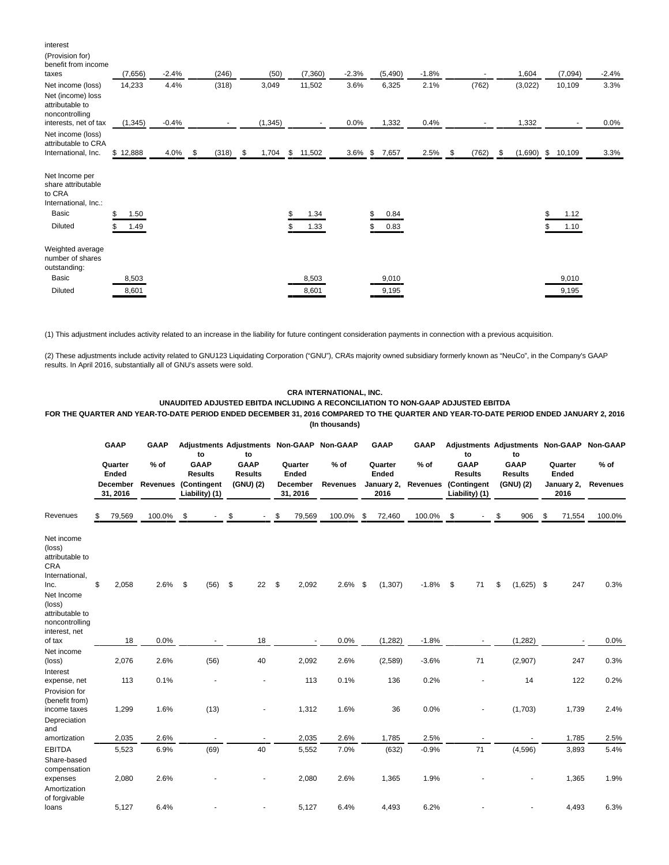| interest<br>(Provision for)<br>benefit from income<br>taxes                                       | (7,656)                  | $-2.4%$ | (246)                    | (50)        |               | (7,360)        | $-2.3%$ | (5,490)        |              | $-1.8%$ |      |       |     | 1,604   | (7,094)             | $-2.4%$ |
|---------------------------------------------------------------------------------------------------|--------------------------|---------|--------------------------|-------------|---------------|----------------|---------|----------------|--------------|---------|------|-------|-----|---------|---------------------|---------|
| Net income (loss)<br>Net (income) loss<br>attributable to<br>noncontrolling                       | 14,233                   | 4.4%    | (318)                    | 3,049       |               | 11,502         | 3.6%    | 6,325          |              | 2.1%    |      | (762) |     | (3,022) | 10,109              | 3.3%    |
| interests, net of tax                                                                             | (1, 345)                 | $-0.4%$ | $\overline{\phantom{a}}$ | (1, 345)    |               | $\sim$         | 0.0%    | 1,332          |              | 0.4%    |      |       |     | 1,332   |                     | 0.0%    |
| Net income (loss)<br>attributable to CRA<br>International, Inc.                                   | \$12,888                 | 4.0%    | (318)<br>\$              | \$<br>1,704 | $\mathfrak s$ | 11,502         |         | 3.6% \$ 7,657  |              | 2.5%    | - \$ | (762) | -\$ |         | $(1,690)$ \$ 10,109 | 3.3%    |
| Net Income per<br>share attributable<br>to CRA<br>International, Inc.:<br>Basic<br><b>Diluted</b> | \$<br>1.50<br>\$<br>1.49 |         |                          |             |               | 1.34<br>1.33   |         | \$<br>\$       | 0.84<br>0.83 |         |      |       |     |         | 1.12<br>1.10        |         |
| Weighted average<br>number of shares<br>outstanding:<br>Basic<br><b>Diluted</b>                   | 8,503<br>8,601           |         |                          |             |               | 8,503<br>8,601 |         | 9,010<br>9,195 |              |         |      |       |     |         | 9,010<br>9,195      |         |

(1) This adjustment includes activity related to an increase in the liability for future contingent consideration payments in connection with a previous acquisition.

(2) These adjustments include activity related to GNU123 Liquidating Corporation ("GNU"), CRA's majority owned subsidiary formerly known as "NeuCo", in the Company's GAAP results. In April 2016, substantially all of GNU's assets were sold.

## **CRA INTERNATIONAL, INC.**

**UNAUDITED ADJUSTED EBITDA INCLUDING A RECONCILIATION TO NON-GAAP ADJUSTED EBITDA**

**FOR THE QUARTER AND YEAR-TO-DATE PERIOD ENDED DECEMBER 31, 2016 COMPARED TO THE QUARTER AND YEAR-TO-DATE PERIOD ENDED JANUARY 2, 2016 (In thousands)**

|                                                                                                                                              | GAAP<br>Quarter<br>Ended<br><b>December</b> | <b>GAAP</b><br>$%$ of<br><b>Revenues</b> | to<br><b>GAAP</b><br><b>Results</b><br>(Contingent | to<br><b>GAAP</b><br><b>Results</b><br>(GNU) (2) |    | <b>Adjustments Adjustments Non-GAAP</b><br>Quarter<br>Ended<br>December | <b>Non-GAAP</b><br>$%$ of<br><b>Revenues</b> |     | <b>GAAP</b><br>Quarter<br>Ended<br>January 2, | <b>GAAP</b><br>$%$ of<br><b>Revenues</b> | to<br><b>GAAP</b><br><b>Results</b><br>(Contingent | Adjustments Adjustments Non-GAAP<br>to<br><b>GAAP</b><br><b>Results</b><br>(GNU) (2) | Quarter<br>Ended<br>January 2, | <b>Non-GAAP</b><br>$%$ of<br><b>Revenues</b> |
|----------------------------------------------------------------------------------------------------------------------------------------------|---------------------------------------------|------------------------------------------|----------------------------------------------------|--------------------------------------------------|----|-------------------------------------------------------------------------|----------------------------------------------|-----|-----------------------------------------------|------------------------------------------|----------------------------------------------------|--------------------------------------------------------------------------------------|--------------------------------|----------------------------------------------|
|                                                                                                                                              | 31, 2016                                    |                                          | Liability) (1)                                     |                                                  |    | 31, 2016                                                                |                                              |     | 2016                                          |                                          | Liability) (1)                                     |                                                                                      | 2016                           |                                              |
| Revenues                                                                                                                                     | 79,569                                      | 100.0%                                   | \$                                                 | \$                                               |    | \$<br>79,569                                                            | 100.0% \$                                    |     | 72,460                                        | 100.0%                                   | \$                                                 | \$<br>906                                                                            | \$<br>71,554                   | 100.0%                                       |
| Net income<br>(loss)<br>attributable to<br><b>CRA</b><br>International,<br>Inc.<br>Net Income<br>(loss)<br>attributable to<br>noncontrolling | \$<br>2,058                                 | 2.6%                                     | \$<br>(56)                                         | \$                                               | 22 | \$<br>2,092                                                             | 2.6%                                         | -\$ | (1, 307)                                      | $-1.8%$                                  | \$<br>71                                           | \$<br>$(1,625)$ \$                                                                   | 247                            | 0.3%                                         |
| interest, net<br>of tax                                                                                                                      | 18                                          | 0.0%                                     |                                                    |                                                  | 18 |                                                                         | 0.0%                                         |     | (1,282)                                       | $-1.8%$                                  |                                                    | (1, 282)                                                                             |                                | 0.0%                                         |
| Net income<br>(loss)<br>Interest                                                                                                             | 2,076                                       | 2.6%                                     | (56)                                               |                                                  | 40 | 2,092                                                                   | 2.6%                                         |     | (2,589)                                       | $-3.6%$                                  | 71                                                 | (2,907)                                                                              | 247                            | 0.3%                                         |
| expense, net<br>Provision for                                                                                                                | 113                                         | 0.1%                                     |                                                    |                                                  |    | 113                                                                     | 0.1%                                         |     | 136                                           | 0.2%                                     |                                                    | 14                                                                                   | 122                            | 0.2%                                         |
| (benefit from)<br>income taxes<br>Depreciation                                                                                               | 1,299                                       | 1.6%                                     | (13)                                               |                                                  |    | 1,312                                                                   | 1.6%                                         |     | 36                                            | 0.0%                                     |                                                    | (1,703)                                                                              | 1,739                          | 2.4%                                         |
| and<br>amortization                                                                                                                          | 2,035                                       | 2.6%                                     |                                                    |                                                  |    | 2,035                                                                   | 2.6%                                         |     | 1,785                                         | 2.5%                                     |                                                    |                                                                                      | 1,785                          | 2.5%                                         |
| <b>EBITDA</b>                                                                                                                                | 5,523                                       | 6.9%                                     | (69)                                               |                                                  | 40 | 5,552                                                                   | 7.0%                                         |     | (632)                                         | $-0.9%$                                  | 71                                                 | (4,596)                                                                              | 3,893                          | 5.4%                                         |
| Share-based<br>compensation<br>expenses<br>Amortization                                                                                      | 2,080                                       | 2.6%                                     |                                                    |                                                  |    | 2,080                                                                   | 2.6%                                         |     | 1,365                                         | 1.9%                                     |                                                    |                                                                                      | 1,365                          | 1.9%                                         |
| of forgivable<br>loans                                                                                                                       | 5.127                                       | 6.4%                                     |                                                    |                                                  |    | 5.127                                                                   | 6.4%                                         |     | 4,493                                         | 6.2%                                     |                                                    |                                                                                      | 4,493                          | 6.3%                                         |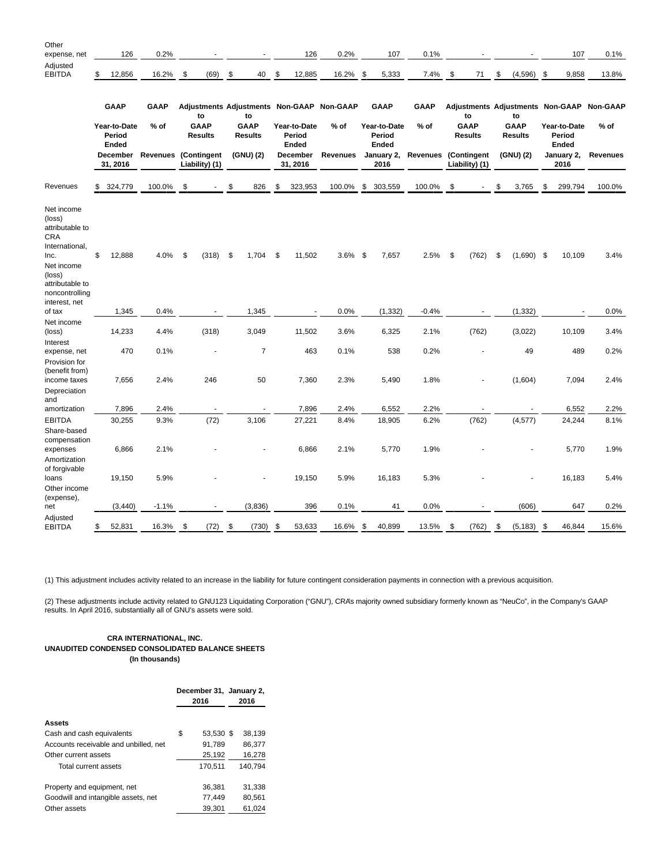| Other<br>expense, net                                                                                                                        |    | 126                             | 0.2%                        |                               |                               | 126                             | 0.2%                                      | 107                             | 0.1%        |                               |                               |     | 107                             | 0.1%                                      |
|----------------------------------------------------------------------------------------------------------------------------------------------|----|---------------------------------|-----------------------------|-------------------------------|-------------------------------|---------------------------------|-------------------------------------------|---------------------------------|-------------|-------------------------------|-------------------------------|-----|---------------------------------|-------------------------------------------|
| Adjusted<br><b>EBITDA</b>                                                                                                                    | \$ | 12,856                          | 16.2%                       | \$<br>(69)                    | \$<br>40                      | \$<br>12,885                    | 16.2%                                     | \$<br>5,333                     | 7.4%        | \$<br>71                      | \$<br>(4, 596)                | -\$ | 9,858                           | 13.8%                                     |
|                                                                                                                                              |    | <b>GAAP</b>                     | <b>GAAP</b>                 | to                            | to                            |                                 | Adjustments Adjustments Non-GAAP Non-GAAP | <b>GAAP</b>                     | <b>GAAP</b> | to                            | to                            |     |                                 | Adjustments Adjustments Non-GAAP Non-GAAP |
|                                                                                                                                              |    | Year-to-Date<br>Period<br>Ended | $%$ of                      | <b>GAAP</b><br><b>Results</b> | <b>GAAP</b><br><b>Results</b> | Year-to-Date<br>Period<br>Ended | $%$ of                                    | Year-to-Date<br>Period<br>Ended | $%$ of      | GAAP<br><b>Results</b>        | <b>GAAP</b><br><b>Results</b> |     | Year-to-Date<br>Period<br>Ended | % of                                      |
|                                                                                                                                              |    | December<br>31, 2016            | <b>Revenues (Contingent</b> | Liability) (1)                | (GNU) (2)                     | December<br>31, 2016            | Revenues                                  | January 2,<br>2016              | Revenues    | (Contingent<br>Liability) (1) | (GNU) (2)                     |     | January 2,<br>2016              | <b>Revenues</b>                           |
| Revenues                                                                                                                                     | \$ | 324,779                         | 100.0%                      | \$                            | \$<br>826                     | \$<br>323,953                   | 100.0%                                    | \$<br>303,559                   | 100.0%      | \$<br>÷,                      | \$<br>3,765                   | \$  | 299,794                         | 100.0%                                    |
| Net income<br>(loss)<br>attributable to<br><b>CRA</b><br>International,<br>Inc.<br>Net income<br>(loss)<br>attributable to<br>noncontrolling | \$ | 12,888                          | 4.0%                        | \$<br>(318)                   | \$<br>1,704                   | \$<br>11,502                    | $3.6\%$ \$                                | 7,657                           | 2.5%        | \$<br>(762)                   | \$<br>$(1,690)$ \$            |     | 10,109                          | 3.4%                                      |
| interest, net<br>of tax                                                                                                                      |    | 1,345                           | 0.4%                        |                               | 1,345                         |                                 | 0.0%                                      | (1, 332)                        | $-0.4%$     |                               | (1, 332)                      |     |                                 | 0.0%                                      |
| Net income                                                                                                                                   |    |                                 |                             |                               |                               |                                 |                                           |                                 |             |                               |                               |     |                                 |                                           |
| (loss)<br>Interest                                                                                                                           |    | 14,233                          | 4.4%                        | (318)                         | 3,049                         | 11,502                          | 3.6%                                      | 6,325                           | 2.1%        | (762)                         | (3,022)                       |     | 10,109                          | 3.4%                                      |
| expense, net<br>Provision for<br>(benefit from)                                                                                              |    | 470                             | 0.1%                        |                               | $\overline{7}$                | 463                             | 0.1%                                      | 538                             | 0.2%        |                               | 49                            |     | 489                             | 0.2%                                      |
| income taxes<br>Depreciation<br>and                                                                                                          |    | 7,656                           | 2.4%                        | 246                           | 50                            | 7,360                           | 2.3%                                      | 5,490                           | 1.8%        |                               | (1,604)                       |     | 7,094                           | 2.4%                                      |
| amortization                                                                                                                                 |    | 7,896                           | 2.4%                        |                               |                               | 7,896                           | 2.4%                                      | 6,552                           | 2.2%        |                               |                               |     | 6,552                           | 2.2%                                      |
| <b>EBITDA</b><br>Share-based<br>compensation                                                                                                 |    | 30,255                          | 9.3%                        | (72)                          | 3,106                         | 27,221                          | 8.4%                                      | 18,905                          | 6.2%        | (762)                         | (4, 577)                      |     | 24,244                          | 8.1%                                      |
| expenses<br>Amortization<br>of forgivable                                                                                                    |    | 6,866                           | 2.1%                        |                               |                               | 6,866                           | 2.1%                                      | 5,770                           | 1.9%        |                               |                               |     | 5,770                           | 1.9%                                      |
| loans<br>Other income<br>(expense),                                                                                                          |    | 19,150                          | 5.9%                        |                               |                               | 19,150                          | 5.9%                                      | 16,183                          | 5.3%        |                               |                               |     | 16,183                          | 5.4%                                      |
| net                                                                                                                                          |    | (3, 440)                        | $-1.1%$                     |                               | (3,836)                       | 396                             | 0.1%                                      | 41                              | 0.0%        |                               | (606)                         |     | 647                             | 0.2%                                      |
| Adjusted<br><b>EBITDA</b>                                                                                                                    | S. | 52,831                          | 16.3%                       | \$<br>(72)                    | \$<br>(730)                   | \$<br>53,633                    | 16.6%                                     | \$<br>40,899                    | 13.5%       | \$<br>(762)                   | \$<br>(5, 183)                | \$  | 46,844                          | 15.6%                                     |

(1) This adjustment includes activity related to an increase in the liability for future contingent consideration payments in connection with a previous acquisition.

(2) These adjustments include activity related to GNU123 Liquidating Corporation ("GNU"), CRA's majority owned subsidiary formerly known as "NeuCo", in the Company's GAAP results. In April 2016, substantially all of GNU's assets were sold.

## **CRA INTERNATIONAL, INC. UNAUDITED CONDENSED CONSOLIDATED BALANCE SHEETS (In thousands)**

|                                       | December 31, January 2,<br>2016 |           |  | 2016    |
|---------------------------------------|---------------------------------|-----------|--|---------|
| <b>Assets</b>                         |                                 |           |  |         |
| Cash and cash equivalents             | \$                              | 53.530 \$ |  | 38.139  |
| Accounts receivable and unbilled, net |                                 | 91,789    |  | 86,377  |
| Other current assets                  |                                 | 25,192    |  | 16,278  |
| Total current assets                  |                                 | 170,511   |  | 140.794 |
| Property and equipment, net           |                                 | 36.381    |  | 31,338  |
| Goodwill and intangible assets, net   |                                 | 77.449    |  | 80.561  |
| Other assets                          |                                 | 39.301    |  | 61.024  |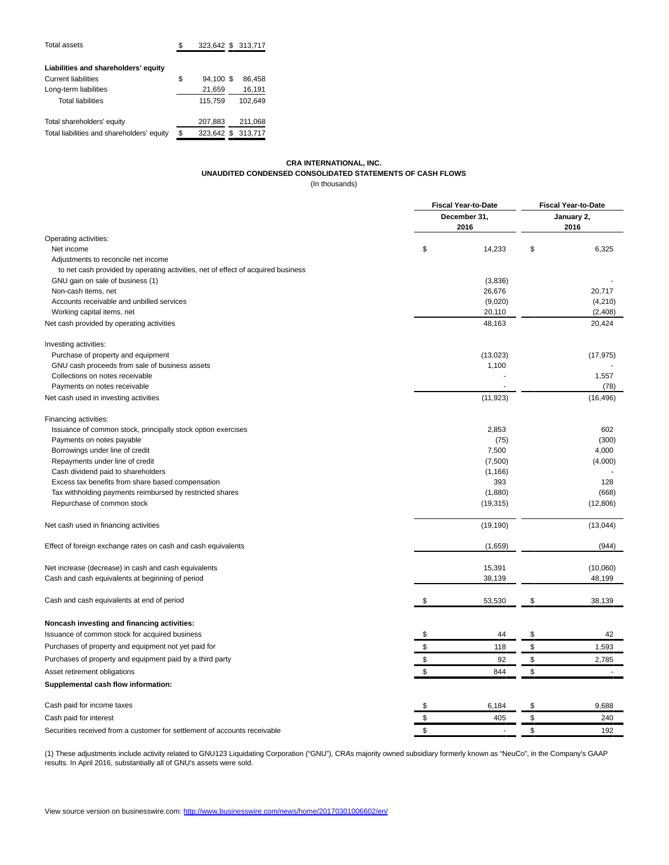| Total assets                               | S  |            | 323,642 \$ 313,717 |
|--------------------------------------------|----|------------|--------------------|
| Liabilities and shareholders' equity       |    |            |                    |
| <b>Current liabilities</b>                 | \$ | 94.100 \$  | 86.458             |
| Long-term liabilities                      |    | 21,659     | 16,191             |
| <b>Total liabilities</b>                   |    | 115,759    | 102.649            |
| Total shareholders' equity                 |    | 207,883    | 211,068            |
| Total liabilities and shareholders' equity | \$ | 323.642 \$ | 313,717            |
|                                            |    |            |                    |

## **CRA INTERNATIONAL, INC. UNAUDITED CONDENSED CONSOLIDATED STATEMENTS OF CASH FLOWS** (In thousands)

|                                                                                  | <b>Fiscal Year-to-Date</b> | <b>Fiscal Year-to-Date</b> |    |            |  |
|----------------------------------------------------------------------------------|----------------------------|----------------------------|----|------------|--|
|                                                                                  |                            | December 31,               |    | January 2, |  |
|                                                                                  |                            | 2016                       |    | 2016       |  |
| Operating activities:                                                            |                            |                            |    |            |  |
| Net income                                                                       | \$                         | 14,233                     | \$ | 6,325      |  |
| Adjustments to reconcile net income                                              |                            |                            |    |            |  |
| to net cash provided by operating activities, net of effect of acquired business |                            |                            |    |            |  |
| GNU gain on sale of business (1)                                                 |                            | (3,836)                    |    |            |  |
| Non-cash items, net                                                              |                            | 26,676                     |    | 20,717     |  |
| Accounts receivable and unbilled services                                        |                            | (9,020)                    |    | (4,210)    |  |
| Working capital items, net                                                       |                            | 20,110                     |    | (2,408)    |  |
| Net cash provided by operating activities                                        |                            | 48,163                     |    | 20,424     |  |
| Investing activities:                                                            |                            |                            |    |            |  |
| Purchase of property and equipment                                               |                            | (13,023)                   |    | (17, 975)  |  |
| GNU cash proceeds from sale of business assets                                   |                            | 1,100                      |    |            |  |
| Collections on notes receivable                                                  |                            |                            |    | 1,557      |  |
| Payments on notes receivable                                                     |                            |                            |    | (78)       |  |
| Net cash used in investing activities                                            |                            | (11, 923)                  |    | (16, 496)  |  |
| Financing activities:                                                            |                            |                            |    |            |  |
| Issuance of common stock, principally stock option exercises                     |                            | 2,853                      |    | 602        |  |
| Payments on notes payable                                                        |                            | (75)                       |    | (300)      |  |
| Borrowings under line of credit                                                  |                            | 7,500                      |    | 4,000      |  |
| Repayments under line of credit                                                  |                            | (7,500)                    |    | (4,000)    |  |
| Cash dividend paid to shareholders                                               |                            | (1, 166)                   |    |            |  |
| Excess tax benefits from share based compensation                                |                            | 393                        |    | 128        |  |
| Tax withholding payments reimbursed by restricted shares                         |                            | (1,880)                    |    | (668)      |  |
| Repurchase of common stock                                                       |                            | (19, 315)                  |    | (12,806)   |  |
| Net cash used in financing activities                                            |                            | (19, 190)                  |    | (13, 044)  |  |
| Effect of foreign exchange rates on cash and cash equivalents                    |                            | (1,659)                    |    | (944)      |  |
| Net increase (decrease) in cash and cash equivalents                             |                            | 15,391                     |    | (10,060)   |  |
| Cash and cash equivalents at beginning of period                                 |                            | 38,139                     |    | 48,199     |  |
|                                                                                  |                            |                            |    |            |  |
| Cash and cash equivalents at end of period                                       | \$                         | 53,530                     | \$ | 38,139     |  |
| Noncash investing and financing activities:                                      |                            |                            |    |            |  |
| Issuance of common stock for acquired business                                   | \$                         | 44                         | \$ | 42         |  |
| Purchases of property and equipment not yet paid for                             | \$                         | 118                        | \$ | 1,593      |  |
| Purchases of property and equipment paid by a third party                        | \$                         | 92                         | \$ | 2,785      |  |
| Asset retirement obligations                                                     | \$                         | 844                        | \$ |            |  |
| Supplemental cash flow information:                                              |                            |                            |    |            |  |
| Cash paid for income taxes                                                       | \$                         | 6,184                      | \$ | 9,688      |  |
| Cash paid for interest                                                           | \$                         | 405                        | \$ | 240        |  |
| Securities received from a customer for settlement of accounts receivable        | \$                         |                            | \$ | 192        |  |

(1) These adjustments include activity related to GNU123 Liquidating Corporation ("GNU"), CRA's majority owned subsidiary formerly known as "NeuCo", in the Company's GAAP results. In April 2016, substantially all of GNU's assets were sold.